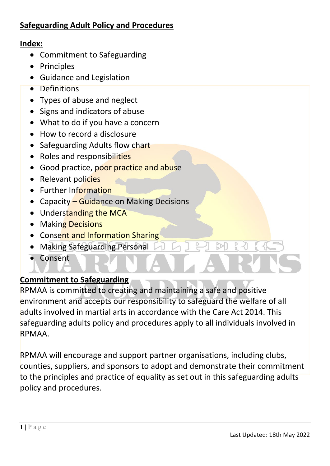## **Index:**

- Commitment to Safeguarding
- Principles
- Guidance and Legislation
- Definitions
- Types of abuse and neglect
- Signs and indicators of abuse
- What to do if you have a concern
- How to record a disclosure
- Safeguarding Adults flow chart
- Roles and responsibilities
- Good practice, poor practice and abuse
- Relevant policies
- Further Information
- Capacity Guidance on Making Decisions
- Understanding the MCA
- Making Decisions
- Consent and Information Sharing
- Making Safeguarding Personal
- Consent

# **Commitment to Safeguarding**

RPMAA is committed to creating and maintaining a safe and positive environment and accepts our responsibility to safeguard the welfare of all adults involved in martial arts in accordance with the Care Act 2014. This safeguarding adults policy and procedures apply to all individuals involved in RPMAA.

RPMAA will encourage and support partner organisations, including clubs, counties, suppliers, and sponsors to adopt and demonstrate their commitment to the principles and practice of equality as set out in this safeguarding adults policy and procedures.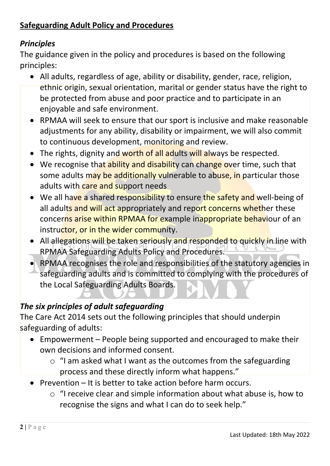# *Principles*

The guidance given in the policy and procedures is based on the following principles:

- All adults, regardless of age, ability or disability, gender, race, religion, ethnic origin, sexual orientation, marital or gender status have the right to be protected from abuse and poor practice and to participate in an enjoyable and safe environment.
- RPMAA will seek to ensure that our sport is inclusive and make reasonable adjustments for any ability, disability or impairment, we will also commit to continuous development, monitoring and review.
- The rights, dignity and worth of all adults will always be respected.
- We recognise that ability and disability can change over time, such that some adults may be additionally vulnerable to abuse, in particular those adults with care and support needs
- We all have a shared responsibility to ensure the safety and well-being of all adults and will act appropriately and report concerns whether these concerns arise within RPMAA for example inappropriate behaviour of an instructor, or in the wider community.
- All allegations will be taken seriously and responded to quickly in line with RPMAA Safeguarding Adults Policy and Procedures.
- RPMAA recognises the role and responsibilities of the statutory agencies in safeguarding adults and is committed to complying with the procedures of the Local Safeguarding Adults Boards.

# *The six principles of adult safeguarding*

The Care Act 2014 sets out the following principles that should underpin safeguarding of adults:

- Empowerment People being supported and encouraged to make their own decisions and informed consent.
	- $\circ$  "I am asked what I want as the outcomes from the safeguarding process and these directly inform what happens."
- Prevention It is better to take action before harm occurs.
	- o "I receive clear and simple information about what abuse is, how to recognise the signs and what I can do to seek help."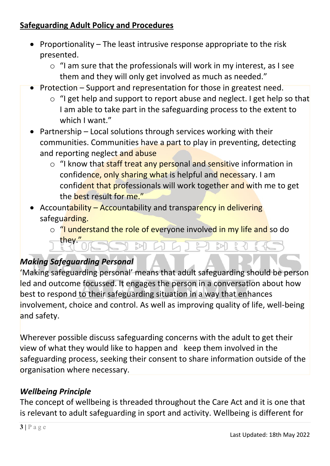- Proportionality The least intrusive response appropriate to the risk presented.
	- $\circ$  "I am sure that the professionals will work in my interest, as I see them and they will only get involved as much as needed."
- Protection Support and representation for those in greatest need.
	- o "I get help and support to report abuse and neglect. I get help so that I am able to take part in the safeguarding process to the extent to which I want."
- Partnership Local solutions through services working with their communities. Communities have a part to play in preventing, detecting and reporting neglect and abuse
	- o "I know that staff treat any personal and sensitive information in confidence, only sharing what is helpful and necessary. I am confident that professionals will work together and with me to get the best result for me."
- Accountability Accountability and transparency in delivering safeguarding.
	- o "I understand the role of everyone involved in my life and so do they." **WWDE**  $M$ M

# *Making Safeguarding Personal*

'Making safeguarding personal' means that adult safeguarding should be person led and outcome focussed. It engages the person in a conversation about how best to respond to their safeguarding situation in a way that enhances involvement, choice and control. As well as improving quality of life, well-being and safety.

Wherever possible discuss safeguarding concerns with the adult to get their view of what they would like to happen and keep them involved in the safeguarding process, seeking their consent to share information outside of the organisation where necessary.

# *Wellbeing Principle*

The concept of wellbeing is threaded throughout the Care Act and it is one that is relevant to adult safeguarding in sport and activity. Wellbeing is different for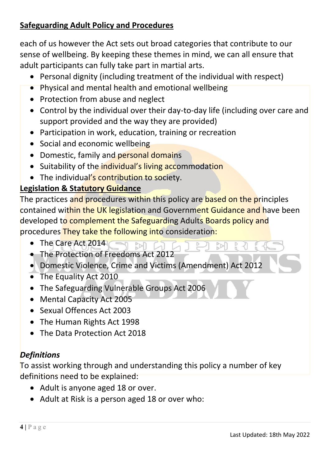each of us however the Act sets out broad categories that contribute to our sense of wellbeing. By keeping these themes in mind, we can all ensure that adult participants can fully take part in martial arts.

- Personal dignity (including treatment of the individual with respect)
- Physical and mental health and emotional wellbeing
- Protection from abuse and neglect
- Control by the individual over their day-to-day life (including over care and support provided and the way they are provided)
- Participation in work, education, training or recreation
- Social and economic wellbeing
- Domestic, family and personal domains
- Suitability of the individual's living accommodation
- The individual's contribution to society.

#### **Legislation & Statutory Guidance**

The practices and procedures within this policy are based on the principles contained within the UK legislation and Government Guidance and have been developed to complement the Safeguarding Adults Boards policy and procedures They take the following into consideration:

- The Care Act 2014 M
- The Protection of Freedoms Act 2012
- Domestic Violence, Crime and Victims (Amendment) Act 2012
- The Equality Act 2010
- The Safeguarding Vulnerable Groups Act 2006
- Mental Capacity Act 2005
- Sexual Offences Act 2003
- The Human Rights Act 1998
- The Data Protection Act 2018

# *Definitions*

To assist working through and understanding this policy a number of key definitions need to be explained:

- Adult is anyone aged 18 or over.
- Adult at Risk is a person aged 18 or over who: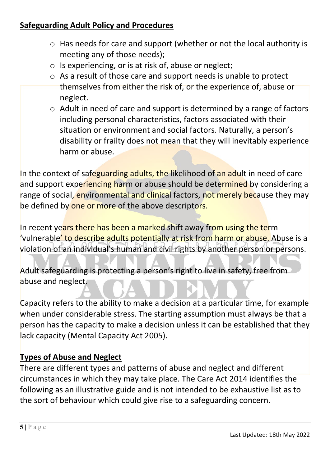- o Has needs for care and support (whether or not the local authority is meeting any of those needs);
- o Is experiencing, or is at risk of, abuse or neglect;
- o As a result of those care and support needs is unable to protect themselves from either the risk of, or the experience of, abuse or neglect.
- $\circ$  Adult in need of care and support is determined by a range of factors including personal characteristics, factors associated with their situation or environment and social factors. Naturally, a person's disability or frailty does not mean that they will inevitably experience harm or abuse.

In the context of safeguarding adults, the likelihood of an adult in need of care and support experiencing harm or abuse should be determined by considering a range of social, environmental and clinical factors, not merely because they may be defined by one or more of the above descriptors.

In recent years there has been a marked shift away from using the term 'vulnerable' to describe adults potentially at risk from harm or abuse. Abuse is a violation of an individual's human and civil rights by another person or persons.

Adult safeguarding is protecting a person's right to live in safety, free from abuse and neglect.

Capacity refers to the ability to make a decision at a particular time, for example when under considerable stress. The starting assumption must always be that a person has the capacity to make a decision unless it can be established that they lack capacity (Mental Capacity Act 2005).

#### **Types of Abuse and Neglect**

There are different types and patterns of abuse and neglect and different circumstances in which they may take place. The Care Act 2014 identifies the following as an illustrative guide and is not intended to be exhaustive list as to the sort of behaviour which could give rise to a safeguarding concern.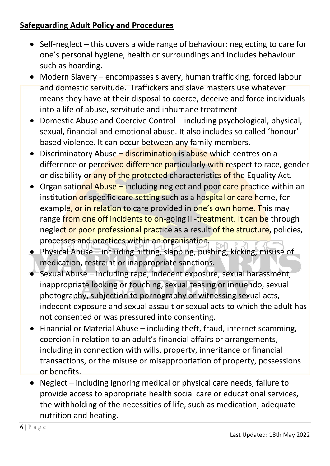- Self-neglect this covers a wide range of behaviour: neglecting to care for one's personal hygiene, health or surroundings and includes behaviour such as hoarding.
- Modern Slavery encompasses slavery, human trafficking, forced labour and domestic servitude. Traffickers and slave masters use whatever means they have at their disposal to coerce, deceive and force individuals into a life of abuse, servitude and inhumane treatment
- Domestic Abuse and Coercive Control including psychological, physical, sexual, financial and emotional abuse. It also includes so called 'honour' based violence. It can occur between any family members.
- Discriminatory Abuse discrimination is abuse which centres on a difference or perceived difference particularly with respect to race, gender or disability or any of the protected characteristics of the Equality Act.
- Organisational Abuse including neglect and poor care practice within an institution or specific care setting such as a hospital or care home, for example, or in relation to care provided in one's own home. This may range from one off incidents to on-going ill-treatment. It can be through neglect or poor professional practice as a result of the structure, policies, processes and practices within an organisation.
- Physical Abuse including hitting, slapping, pushing, kicking, misuse of medication, restraint or inappropriate sanctions.
- Sexual Abuse including rape, indecent exposure, sexual harassment, inappropriate looking or touching, sexual teasing or innuendo, sexual photography, subjection to pornography or witnessing sexual acts, indecent exposure and sexual assault or sexual acts to which the adult has not consented or was pressured into consenting.
- Financial or Material Abuse including theft, fraud, internet scamming, coercion in relation to an adult's financial affairs or arrangements, including in connection with wills, property, inheritance or financial transactions, or the misuse or misappropriation of property, possessions or benefits.
- Neglect including ignoring medical or physical care needs, failure to provide access to appropriate health social care or educational services, the withholding of the necessities of life, such as medication, adequate nutrition and heating.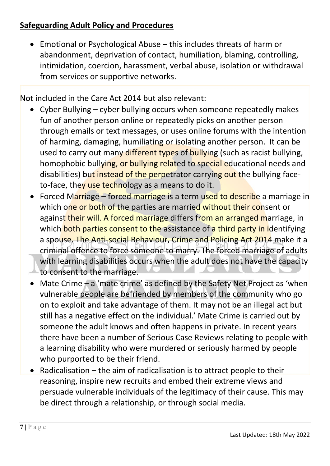• Emotional or Psychological Abuse – this includes threats of harm or abandonment, deprivation of contact, humiliation, blaming, controlling, intimidation, coercion, harassment, verbal abuse, isolation or withdrawal from services or supportive networks.

Not included in the Care Act 2014 but also relevant:

- Cyber Bullying cyber bullying occurs when someone repeatedly makes fun of another person online or repeatedly picks on another person through emails or text messages, or uses online forums with the intention of harming, damaging, humiliating or isolating another person. It can be used to carry out many different types of bullying (such as racist bullying, homophobic bullying, or bullying related to special educational needs and disabilities) but instead of the perpetrator carrying out the bullying faceto-face, they use technology as a means to do it.
- Forced Marriage forced marriage is a term used to describe a marriage in which one or both of the parties are married without their consent or against their will. A forced marriage differs from an arranged marriage, in which both parties consent to the assistance of a third party in identifying a spouse. The Anti-social Behaviour, Crime and Policing Act 2014 make it a criminal offence to force someone to marry. The forced marriage of adults with learning disabilities occurs when the adult does not have the capacity to consent to the marriage.
- Mate Crime a 'mate crime' as defined by the Safety Net Project as 'when vulnerable people are befriended by members of the community who go on to exploit and take advantage of them. It may not be an illegal act but still has a negative effect on the individual.' Mate Crime is carried out by someone the adult knows and often happens in private. In recent years there have been a number of Serious Case Reviews relating to people with a learning disability who were murdered or seriously harmed by people who purported to be their friend.
- Radicalisation the aim of radicalisation is to attract people to their reasoning, inspire new recruits and embed their extreme views and persuade vulnerable individuals of the legitimacy of their cause. This may be direct through a relationship, or through social media.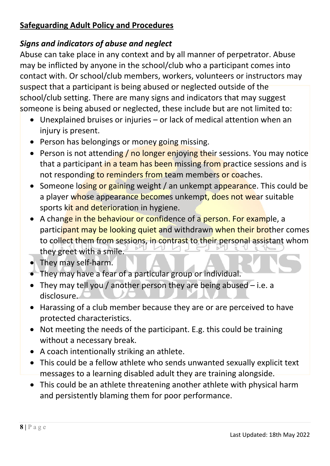# *Signs and indicators of abuse and neglect*

Abuse can take place in any context and by all manner of perpetrator. Abuse may be inflicted by anyone in the school/club who a participant comes into contact with. Or school/club members, workers, volunteers or instructors may suspect that a participant is being abused or neglected outside of the school/club setting. There are many signs and indicators that may suggest someone is being abused or neglected, these include but are not limited to:

- Unexplained bruises or injuries or lack of medical attention when an injury is present.
- Person has belongings or money going missing.
- Person is not attending / no longer enjoying their sessions. You may notice that a participant in a team has been missing from practice sessions and is not responding to reminders from team members or coaches.
- Someone losing or gaining weight / an unkempt appearance. This could be a player whose appearance becomes unkempt, does not wear suitable sports kit and deterioration in hygiene.
- A change in the behaviour or confidence of a person. For example, a participant may be looking quiet and withdrawn when their brother comes to collect them from sessions, in contrast to their personal assistant whom they greet with a smile.
- They may self-harm.
- They may have a fear of a particular group or individual.
- They may tell you / another person they are being abused i.e. a disclosure.
- Harassing of a club member because they are or are perceived to have protected characteristics.
- Not meeting the needs of the participant. E.g. this could be training without a necessary break.
- A coach intentionally striking an athlete.
- This could be a fellow athlete who sends unwanted sexually explicit text messages to a learning disabled adult they are training alongside.
- This could be an athlete threatening another athlete with physical harm and persistently blaming them for poor performance.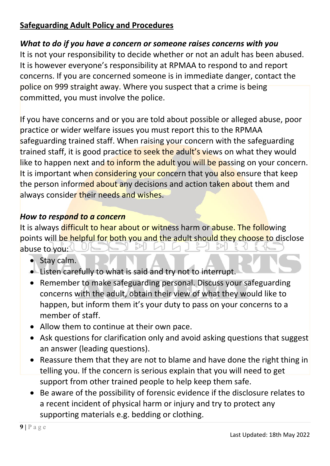# *What to do if you have a concern or someone raises concerns with you*

It is not your responsibility to decide whether or not an adult has been abused. It is however everyone's responsibility at RPMAA to respond to and report concerns. If you are concerned someone is in immediate danger, contact the police on 999 straight away. Where you suspect that a crime is being committed, you must involve the police.

If you have concerns and or you are told about possible or alleged abuse, poor practice or wider welfare issues you must report this to the RPMAA safeguarding trained staff. When raising your concern with the safeguarding trained staff, it is good practice to seek the adult's views on what they would like to happen next and to inform the adult you will be passing on your concern. It is important when considering your concern that you also ensure that keep the person informed about any decisions and action taken about them and always consider their needs and wishes.

# *How to respond to a concern*

It is always difficult to hear about or witness harm or abuse. The following points will be helpful for both you and the adult should they choose to disclose abuse to you:

- Stay calm.
- Listen carefully to what is said and try not to interrupt.
- Remember to make safeguarding personal. Discuss your safeguarding concerns with the adult, obtain their view of what they would like to happen, but inform them it's your duty to pass on your concerns to a member of staff.
- Allow them to continue at their own pace.
- Ask questions for clarification only and avoid asking questions that suggest an answer (leading questions).
- Reassure them that they are not to blame and have done the right thing in telling you. If the concern is serious explain that you will need to get support from other trained people to help keep them safe.
- Be aware of the possibility of forensic evidence if the disclosure relates to a recent incident of physical harm or injury and try to protect any supporting materials e.g. bedding or clothing.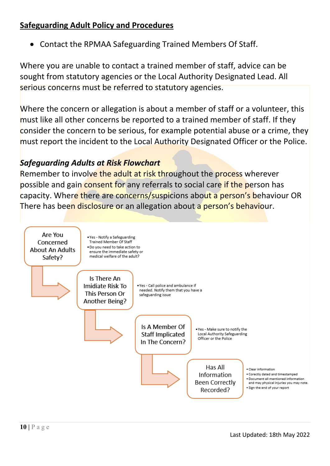• Contact the RPMAA Safeguarding Trained Members Of Staff.

Where you are unable to contact a trained member of staff, advice can be sought from statutory agencies or the Local Authority Designated Lead. All serious concerns must be referred to statutory agencies.

Where the concern or allegation is about a member of staff or a volunteer, this must like all other concerns be reported to a trained member of staff. If they consider the concern to be serious, for example potential abuse or a crime, they must report the incident to the Local Authority Designated Officer or the Police.

# *Safeguarding Adults at Risk Flowchart*

Remember to involve the adult at risk throughout the process wherever possible and gain consent for any referrals to social care if the person has capacity. Where there are concerns/suspicions about a person's behaviour OR There has been disclosure or an allegation about a person's behaviour.

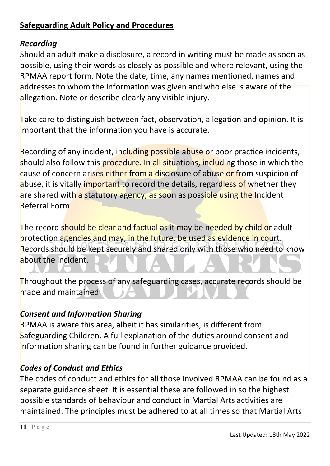## *Recording*

Should an adult make a disclosure, a record in writing must be made as soon as possible, using their words as closely as possible and where relevant, using the RPMAA report form. Note the date, time, any names mentioned, names and addresses to whom the information was given and who else is aware of the allegation. Note or describe clearly any visible injury.

Take care to distinguish between fact, observation, allegation and opinion. It is important that the information you have is accurate.

Recording of any incident, including possible abuse or poor practice incidents, should also follow this procedure. In all situations, including those in which the cause of concern arises either from a disclosure of abuse or from suspicion of abuse, it is vitally *important to record the details, regardless of whether they* are shared with a statutory agency, as soon as possible using the Incident Referral Form

The record should be clear and factual as it may be needed by child or adult protection agencies and may, in the future, be used as evidence in court. Records should be kept securely and shared only with those who need to know about the incident.

Throughout the process of any safeguarding cases, accurate records should be made and maintained.

## *Consent and Information Sharing*

RPMAA is aware this area, albeit it has similarities, is different from Safeguarding Children. A full explanation of the duties around consent and information sharing can be found in further guidance provided.

# *Codes of Conduct and Ethics*

The codes of conduct and ethics for all those involved RPMAA can be found as a separate guidance sheet. It is essential these are followed in so the highest possible standards of behaviour and conduct in Martial Arts activities are maintained. The principles must be adhered to at all times so that Martial Arts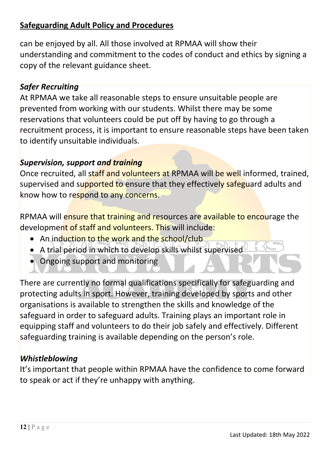can be enjoyed by all. All those involved at RPMAA will show their understanding and commitment to the codes of conduct and ethics by signing a copy of the relevant guidance sheet.

## *Safer Recruiting*

At RPMAA we take all reasonable steps to ensure unsuitable people are prevented from working with our students. Whilst there may be some reservations that volunteers could be put off by having to go through a recruitment process, it is important to ensure reasonable steps have been taken to identify unsuitable individuals.

## *Supervision, support and training*

Once recruited, all staff and volunteers at RPMAA will be well informed, trained, supervised and supported to ensure that they effectively safeguard adults and know how to respond to any concerns.

RPMAA will ensure that training and resources are available to encourage the development of staff and volunteers. This will include:

- An induction to the work and the school/club
- A trial period in which to develop skills whilst supervised
- Ongoing support and monitoring

There are currently no formal qualifications specifically for safeguarding and protecting adults in sport. However, training developed by sports and other organisations is available to strengthen the skills and knowledge of the safeguard in order to safeguard adults. Training plays an important role in equipping staff and volunteers to do their job safely and effectively. Different safeguarding training is available depending on the person's role.

# *Whistleblowing*

It's important that people within RPMAA have the confidence to come forward to speak or act if they're unhappy with anything.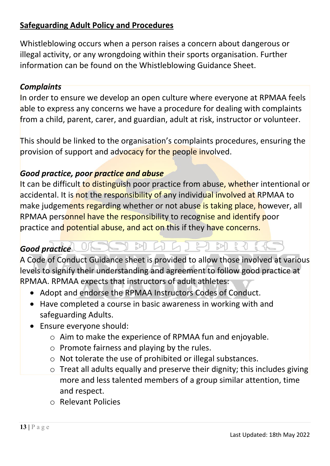Whistleblowing occurs when a person raises a concern about dangerous or illegal activity, or any wrongdoing within their sports organisation. Further information can be found on the Whistleblowing Guidance Sheet.

## *Complaints*

In order to ensure we develop an open culture where everyone at RPMAA feels able to express any concerns we have a procedure for dealing with complaints from a child, parent, carer, and guardian, adult at risk, instructor or volunteer.

This should be linked to the organisation's complaints procedures, ensuring the provision of support and advocacy for the people involved.

## *Good practice, poor practice and abuse*

It can be difficult to distinguish poor practice from abuse, whether intentional or accidental. It is not the responsibility of any individual involved at RPMAA to make judgements regarding whether or not abuse is taking place, however, all RPMAA personnel have the responsibility to recognise and identify poor practice and potential abuse, and act on this if they have concerns.

#### MAGIHM  $\frac{D}{D}$ *Good practice*

A Code of Conduct Guidance sheet is provided to allow those involved at various levels to signify their understanding and agreement to follow good practice at RPMAA. RPMAA expects that instructors of adult athletes:

- Adopt and endorse the RPMAA Instructors Codes of Conduct.
- Have completed a course in basic awareness in working with and safeguarding Adults.
- Ensure everyone should:
	- o Aim to make the experience of RPMAA fun and enjoyable.
	- o Promote fairness and playing by the rules.
	- o Not tolerate the use of prohibited or illegal substances.
	- o Treat all adults equally and preserve their dignity; this includes giving more and less talented members of a group similar attention, time and respect.
	- o Relevant Policies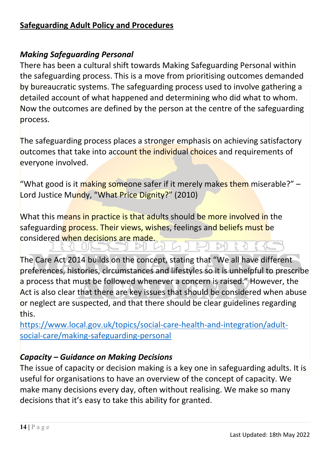#### *Making Safeguarding Personal*

There has been a cultural shift towards Making Safeguarding Personal within the safeguarding process. This is a move from prioritising outcomes demanded by bureaucratic systems. The safeguarding process used to involve gathering a detailed account of what happened and determining who did what to whom. Now the outcomes are defined by the person at the centre of the safeguarding process.

The safeguarding process places a stronger emphasis on achieving satisfactory outcomes that take into account the individual choices and requirements of everyone involved.

"What good is it making someone safer if it merely makes them miserable?" -Lord Justice Mundy, "What Price Dignity?" (2010)

What this means in practice is that adults should be more involved in the safeguarding process. Their views, wishes, feelings and beliefs must be considered when decisions are made.

 $5$ 

The Care Act 2014 builds on the concept, stating that "We all have different preferences, histories, circumstances and lifestyles so it is unhelpful to prescribe a process that must be followed whenever a concern is raised." However, the Act is also clear that there are key issues that should be considered when abuse or neglect are suspected, and that there should be clear guidelines regarding this.

 $M$  $N$ 

[https://www.local.gov.uk/topics/social-care-health-and-integration/adult](https://www.local.gov.uk/topics/social-care-health-and-integration/adult-social-care/making-safeguarding-personal)[social-care/making-safeguarding-personal](https://www.local.gov.uk/topics/social-care-health-and-integration/adult-social-care/making-safeguarding-personal) 

## *Capacity – Guidance on Making Decisions*

The issue of capacity or decision making is a key one in safeguarding adults. It is useful for organisations to have an overview of the concept of capacity. We make many decisions every day, often without realising. We make so many decisions that it's easy to take this ability for granted.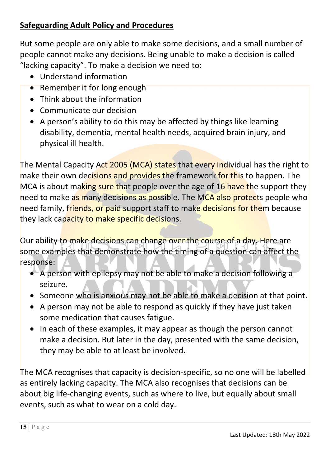But some people are only able to make some decisions, and a small number of people cannot make any decisions. Being unable to make a decision is called "lacking capacity". To make a decision we need to:

- Understand information
- Remember it for long enough
- Think about the information
- Communicate our decision
- A person's ability to do this may be affected by things like learning disability, dementia, mental health needs, acquired brain injury, and physical ill health.

The Mental Capacity Act 2005 (MCA) states that every individual has the right to make their own decisions and provides the framework for this to happen. The MCA is about making sure that people over the age of 16 have the support they need to make as many decisions as possible. The MCA also protects people who need family, friends, or paid support staff to make decisions for them because they lack capacity to make specific decisions.

Our ability to make decisions can change over the course of a day. Here are some examples that demonstrate how the timing of a question can affect the response:

- A person with epilepsy may not be able to make a decision following a seizure.
- Someone who is anxious may not be able to make a decision at that point.
- A person may not be able to respond as quickly if they have just taken some medication that causes fatigue.
- In each of these examples, it may appear as though the person cannot make a decision. But later in the day, presented with the same decision, they may be able to at least be involved.

The MCA recognises that capacity is decision-specific, so no one will be labelled as entirely lacking capacity. The MCA also recognises that decisions can be about big life-changing events, such as where to live, but equally about small events, such as what to wear on a cold day.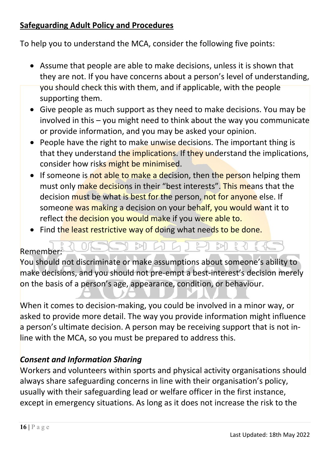To help you to understand the MCA, consider the following five points:

- Assume that people are able to make decisions, unless it is shown that they are not. If you have concerns about a person's level of understanding, you should check this with them, and if applicable, with the people supporting them.
- Give people as much support as they need to make decisions. You may be involved in this – you might need to think about the way you communicate or provide information, and you may be asked your opinion.
- People have the right to make unwise decisions. The important thing is that they understand the implications. If they understand the implications, consider how risks might be minimised.
- If someone is not able to make a decision, then the person helping them must only make decisions in their "best interests". This means that the decision must be what is best for the person, not for anyone else. If someone was making a decision on your behalf, you would want it to reflect the decision you would make if you were able to.
- Find the least restrictive way of doing what needs to be done.

M

## Remember:

You should not discriminate or make assumptions about someone's ability to make decisions, and you should not pre-empt a best-interest's decision merely on the basis of a person's age, appearance, condition, or behaviour.

M

When it comes to decision-making, you could be involved in a minor way, or asked to provide more detail. The way you provide information might influence a person's ultimate decision. A person may be receiving support that is not inline with the MCA, so you must be prepared to address this.

## *Consent and Information Sharing*

Workers and volunteers within sports and physical activity organisations should always share safeguarding concerns in line with their organisation's policy, usually with their safeguarding lead or welfare officer in the first instance, except in emergency situations. As long as it does not increase the risk to the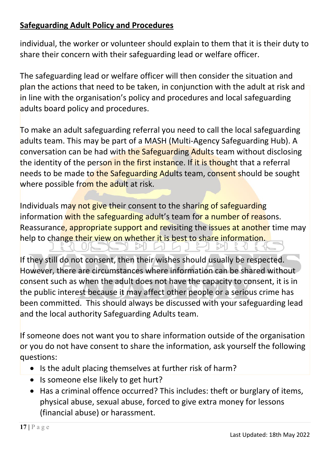individual, the worker or volunteer should explain to them that it is their duty to share their concern with their safeguarding lead or welfare officer.

The safeguarding lead or welfare officer will then consider the situation and plan the actions that need to be taken, in conjunction with the adult at risk and in line with the organisation's policy and procedures and local safeguarding adults board policy and procedures.

To make an adult safeguarding referral you need to call the local safeguarding adults team. This may be part of a MASH (Multi-Agency Safeguarding Hub). A conversation can be had with the Safeguarding Adults team without disclosing the identity of the person in the first instance. If it is thought that a referral needs to be made to the Safeguarding Adults team, consent should be sought where possible from the adult at risk.

Individuals may not give their consent to the sharing of safeguarding information with the safeguarding adult's team for a number of reasons. Reassurance, appropriate support and revisiting the issues at another time may help to change their view on whether it is best to share information.

EPL.

If they still do not consent, then their wishes should usually be respected. However, there are circumstances where information can be shared without consent such as when the adult does not have the capacity to consent, it is in the public interest because it may affect other people or a serious crime has been committed. This should always be discussed with your safeguarding lead and the local authority Safeguarding Adults team.

If someone does not want you to share information outside of the organisation or you do not have consent to share the information, ask yourself the following questions:

- Is the adult placing themselves at further risk of harm?
- Is someone else likely to get hurt?
- Has a criminal offence occurred? This includes: theft or burglary of items, physical abuse, sexual abuse, forced to give extra money for lessons (financial abuse) or harassment.